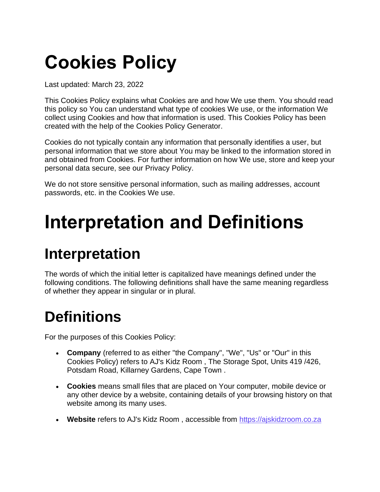# **Cookies Policy**

Last updated: March 23, 2022

This Cookies Policy explains what Cookies are and how We use them. You should read this policy so You can understand what type of cookies We use, or the information We collect using Cookies and how that information is used. This Cookies Policy has been created with the help of the [Cookies Policy Generator.](https://www.freeprivacypolicy.com/free-cookies-policy-generator/)

Cookies do not typically contain any information that personally identifies a user, but personal information that we store about You may be linked to the information stored in and obtained from Cookies. For further information on how We use, store and keep your personal data secure, see our Privacy Policy.

We do not store sensitive personal information, such as mailing addresses, account passwords, etc. in the Cookies We use.

## **Interpretation and Definitions**

### **Interpretation**

The words of which the initial letter is capitalized have meanings defined under the following conditions. The following definitions shall have the same meaning regardless of whether they appear in singular or in plural.

### **Definitions**

For the purposes of this Cookies Policy:

- **Company** (referred to as either "the Company", "We", "Us" or "Our" in this Cookies Policy) refers to AJ's Kidz Room , The Storage Spot, Units 419 /426, Potsdam Road, Killarney Gardens, Cape Town .
- **Cookies** means small files that are placed on Your computer, mobile device or any other device by a website, containing details of your browsing history on that website among its many uses.
- **Website** refers to AJ's Kidz Room , accessible from [https://ajskidzroom.co.za](https://ajskidzroom.co.za/)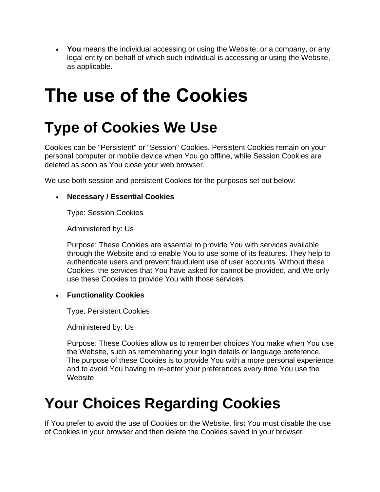• **You** means the individual accessing or using the Website, or a company, or any legal entity on behalf of which such individual is accessing or using the Website, as applicable.

## **The use of the Cookies**

### **Type of Cookies We Use**

Cookies can be "Persistent" or "Session" Cookies. Persistent Cookies remain on your personal computer or mobile device when You go offline, while Session Cookies are deleted as soon as You close your web browser.

We use both session and persistent Cookies for the purposes set out below:

#### • **Necessary / Essential Cookies**

Type: Session Cookies

Administered by: Us

Purpose: These Cookies are essential to provide You with services available through the Website and to enable You to use some of its features. They help to authenticate users and prevent fraudulent use of user accounts. Without these Cookies, the services that You have asked for cannot be provided, and We only use these Cookies to provide You with those services.

#### • **Functionality Cookies**

Type: Persistent Cookies

Administered by: Us

Purpose: These Cookies allow us to remember choices You make when You use the Website, such as remembering your login details or language preference. The purpose of these Cookies is to provide You with a more personal experience and to avoid You having to re-enter your preferences every time You use the Website.

### **Your Choices Regarding Cookies**

If You prefer to avoid the use of Cookies on the Website, first You must disable the use of Cookies in your browser and then delete the Cookies saved in your browser